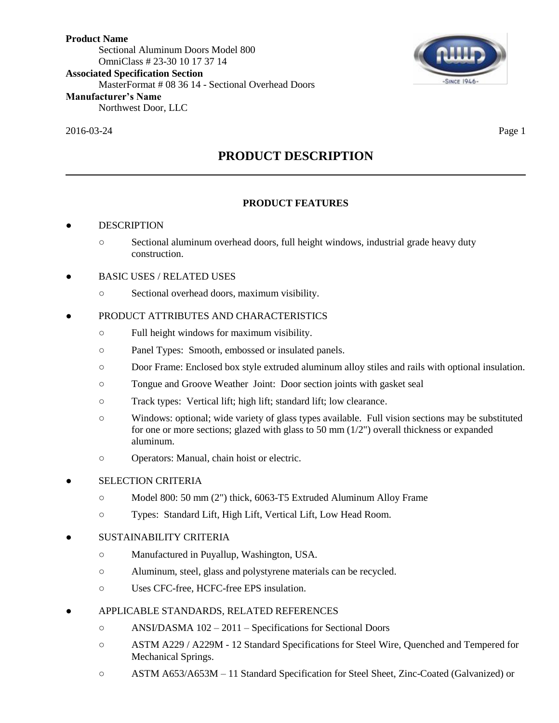2016-03-24 Page 1



# **PRODUCT DESCRIPTION**

## **PRODUCT FEATURES**

## **DESCRIPTION**

- Sectional aluminum overhead doors, full height windows, industrial grade heavy duty construction.
- BASIC USES / RELATED USES
	- Sectional overhead doors, maximum visibility.

## PRODUCT ATTRIBUTES AND CHARACTERISTICS

- Full height windows for maximum visibility.
- Panel Types: Smooth, embossed or insulated panels.
- Door Frame: Enclosed box style extruded aluminum alloy stiles and rails with optional insulation.
- Tongue and Groove Weather Joint: Door section joints with gasket seal
- Track types: Vertical lift; high lift; standard lift; low clearance.
- Windows: optional; wide variety of glass types available. Full vision sections may be substituted for one or more sections; glazed with glass to 50 mm  $(1/2")$  overall thickness or expanded aluminum.
- Operators: Manual, chain hoist or electric.

#### **SELECTION CRITERIA**

- Model 800: 50 mm (2") thick, 6063-T5 Extruded Aluminum Alloy Frame
- Types: Standard Lift, High Lift, Vertical Lift, Low Head Room.

## SUSTAINABILITY CRITERIA

- Manufactured in Puyallup, Washington, USA.
- Aluminum, steel, glass and polystyrene materials can be recycled.
- Uses CFC-free, HCFC-free EPS insulation.

#### ● APPLICABLE STANDARDS, RELATED REFERENCES

- ANSI/DASMA 102 2011 Specifications for Sectional Doors
- ASTM A229 / A229M 12 Standard Specifications for Steel Wire, Quenched and Tempered for Mechanical Springs.
- ASTM A653/A653M 11 Standard Specification for Steel Sheet, Zinc-Coated (Galvanized) or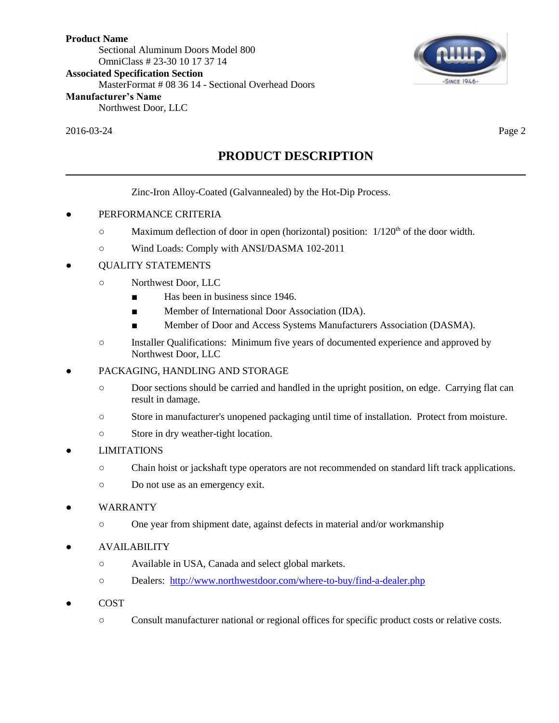2016-03-24 Page 2



**PRODUCT DESCRIPTION**

Zinc-Iron Alloy-Coated (Galvannealed) by the Hot-Dip Process.

- PERFORMANCE CRITERIA
	- $\degree$  Maximum deflection of door in open (horizontal) position:  $1/120<sup>th</sup>$  of the door width.
	- Wind Loads: Comply with ANSI/DASMA 102-2011
- QUALITY STATEMENTS
	- Northwest Door, LLC
		- Has been in business since 1946.
		- Member of International Door Association (IDA).
		- Member of Door and Access Systems Manufacturers Association (DASMA).
	- Installer Qualifications: Minimum five years of documented experience and approved by Northwest Door, LLC
- PACKAGING, HANDLING AND STORAGE
	- Door sections should be carried and handled in the upright position, on edge. Carrying flat can result in damage.
	- Store in manufacturer's unopened packaging until time of installation. Protect from moisture.
	- Store in dry weather-tight location.
- **LIMITATIONS** 
	- Chain hoist or jackshaft type operators are not recommended on standard lift track applications.
	- Do not use as an emergency exit.
- **WARRANTY** 
	- One year from shipment date, against defects in material and/or workmanship
- **AVAILABILITY** 
	- Available in USA, Canada and select global markets.
	- Dealers: <http://www.northwestdoor.com/where-to-buy/find-a-dealer.php>
- **COST** 
	- Consult manufacturer national or regional offices for specific product costs or relative costs.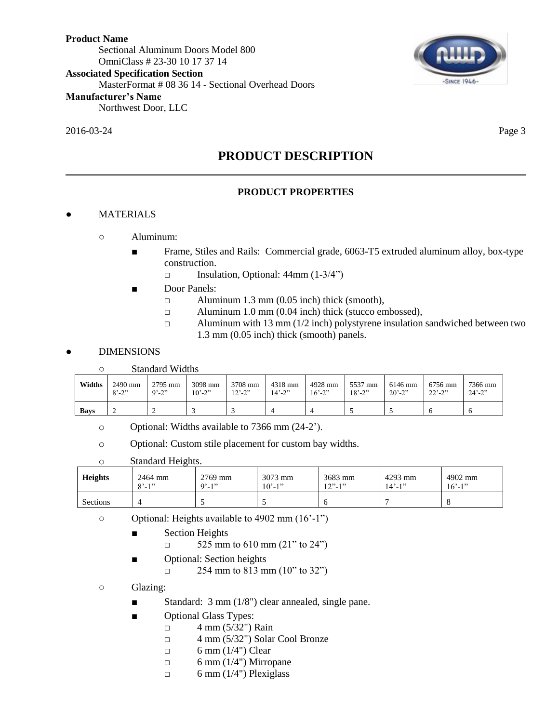## 2016-03-24 Page 3

**SINCE 1946-**

## **PRODUCT DESCRIPTION**

## **PRODUCT PROPERTIES**

## **MATERIALS**

- Aluminum:
	- Frame, Stiles and Rails: Commercial grade, 6063-T5 extruded aluminum alloy, box-type construction.
		- □ Insulation, Optional: 44mm (1-3/4")
	- Door Panels:
		- $\Box$  Aluminum 1.3 mm (0.05 inch) thick (smooth),
		- □ Aluminum 1.0 mm (0.04 inch) thick (stucco embossed),
		- $\Box$  Aluminum with 13 mm (1/2 inch) polystyrene insulation sandwiched between two 1.3 mm (0.05 inch) thick (smooth) panels.

## **DIMENSIONS**

| - റ | <b>Standard Widths</b> |  |
|-----|------------------------|--|
|     |                        |  |

| Widths      | 2490 mm                 | 2795 mm    | 3098 mm                  | 3708 mm                      | 4318 mm                  | 4928 mm     | 5537 mm     | 6146 mm     | 6756 mm            | 7366 mm                  |
|-------------|-------------------------|------------|--------------------------|------------------------------|--------------------------|-------------|-------------|-------------|--------------------|--------------------------|
|             | $8^{\circ} - 2^{\circ}$ | $9' - 2''$ | $10^{\circ} - 2^{\circ}$ | $12^{\degree} - 2^{\degree}$ | $14^{\circ} - 2^{\circ}$ | $16' - 2''$ | $18' - 2''$ | $20' - 2''$ | $22^{\degree}$ -2" | $24^{\circ} - 2^{\circ}$ |
| <b>Bays</b> | ∸                       |            |                          |                              |                          |             |             |             |                    |                          |

- o Optional: Widths available to 7366 mm (24-2').
- o Optional: Custom stile placement for custom bay widths.
- o Standard Heights.

| <b>Heights</b> | 2464 mm               | 2769 mm    | 3073 mm     | 3683 mm    | 4293 mm     | 4902 mm     |
|----------------|-----------------------|------------|-------------|------------|-------------|-------------|
|                | $Q^2$ 1 <sup>22</sup> | $9' - 1''$ | $10' - 1''$ | $12" - 1"$ | $14' - 1''$ | $16' - 1$ " |
| Sections       |                       |            |             |            |             |             |

- Optional: Heights available to 4902 mm (16'-1")
	- Section Heights
		- $\Box$  525 mm to 610 mm (21" to 24")
	- Optional: Section heights
		- $\Box$  254 mm to 813 mm (10" to 32")
- Glazing:
	- Standard: 3 mm (1/8") clear annealed, single pane.
	- Optional Glass Types:
		- $\Box$  4 mm (5/32") Rain
			- $\Box$  4 mm (5/32") Solar Cool Bronze
			- $\Box$  6 mm (1/4") Clear
			- $\Box$  6 mm (1/4") Mirropane
			- $\Box$  6 mm (1/4") Plexiglass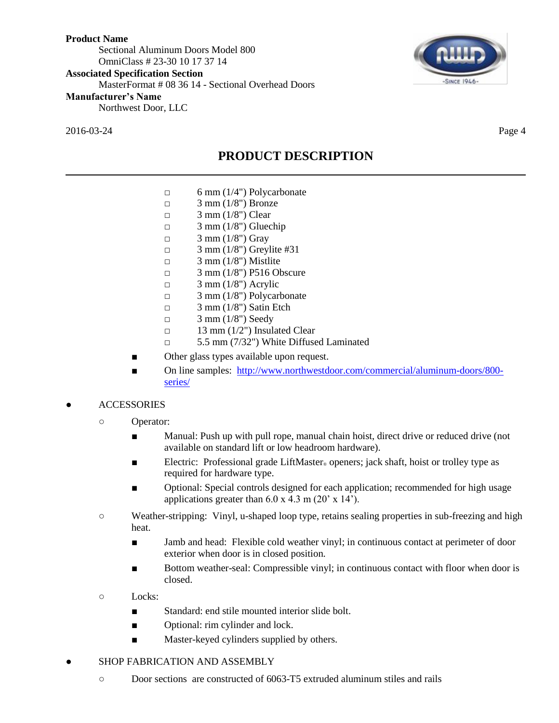2016-03-24 Page 4



**PRODUCT DESCRIPTION**

- $\Box$  6 mm (1/4") Polycarbonate
- $\Box$  3 mm (1/8") Bronze
- $\Box$  3 mm (1/8") Clear
- $\Box$  3 mm (1/8") Gluechip
- $\Box$  3 mm (1/8") Gray
- $\Box$  3 mm (1/8") Greylite #31
- $\Box$  3 mm (1/8") Mistlite
- □ 3 mm (1/8") P516 Obscure
- $\Box$  3 mm (1/8") Acrylic
- $\Box$  3 mm (1/8") Polycarbonate
- $\Box$  3 mm (1/8") Satin Etch
- $\Box$  3 mm (1/8") Seedy
- $\Box$  13 mm (1/2") Insulated Clear
- □ 5.5 mm (7/32") White Diffused Laminated
- Other glass types available upon request.
- On line samples: [http://www.northwestdoor.com/commercial/aluminum-doors/800](http://www.northwestdoor.com/commercial/aluminum-doors/800-series/) [series/](http://www.northwestdoor.com/commercial/aluminum-doors/800-series/)

#### **ACCESSORIES**

- Operator:
	- Manual: Push up with pull rope, manual chain hoist, direct drive or reduced drive (not available on standard lift or low headroom hardware).
	- Electric: Professional grade LiftMaster<sub>®</sub> openers; jack shaft, hoist or trolley type as required for hardware type.
	- Optional: Special controls designed for each application; recommended for high usage applications greater than  $6.0 \times 4.3 \text{ m}$  (20' x 14').
- Weather-stripping: Vinyl, u-shaped loop type, retains sealing properties in sub-freezing and high heat.
	- Jamb and head: Flexible cold weather vinyl; in continuous contact at perimeter of door exterior when door is in closed position.
	- Bottom weather-seal: Compressible vinyl; in continuous contact with floor when door is closed.
- Locks:
	- Standard: end stile mounted interior slide bolt.
	- Optional: rim cylinder and lock.
	- Master-keyed cylinders supplied by others.
- SHOP FABRICATION AND ASSEMBLY
	- Door sections are constructed of 6063-T5 extruded aluminum stiles and rails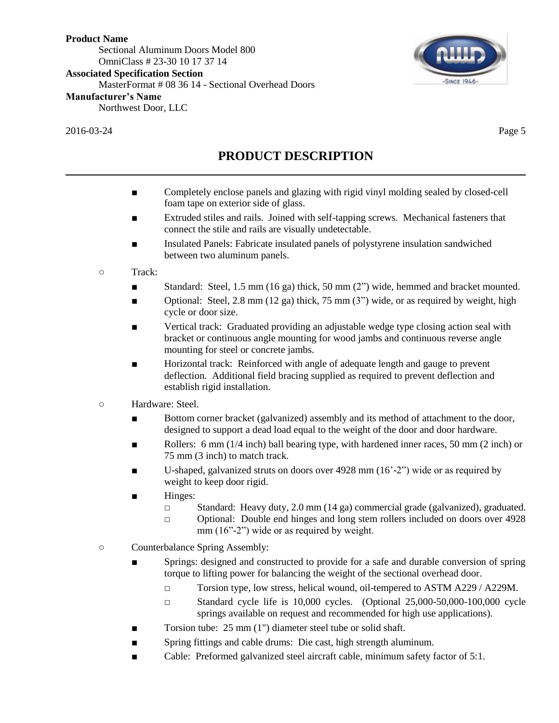2016-03-24 Page 5



# **PRODUCT DESCRIPTION**

- Completely enclose panels and glazing with rigid vinyl molding sealed by closed-cell foam tape on exterior side of glass.
- Extruded stiles and rails. Joined with self-tapping screws. Mechanical fasteners that connect the stile and rails are visually undetectable.
- Insulated Panels: Fabricate insulated panels of polystyrene insulation sandwiched between two aluminum panels.
- Track:
	- Standard: Steel, 1.5 mm (16 ga) thick, 50 mm (2") wide, hemmed and bracket mounted.
	- Optional: Steel,  $2.8 \text{ mm } (12 \text{ ga})$  thick,  $75 \text{ mm } (3)$  wide, or as required by weight, high cycle or door size.
	- Vertical track: Graduated providing an adjustable wedge type closing action seal with bracket or continuous angle mounting for wood jambs and continuous reverse angle mounting for steel or concrete jambs.
	- Horizontal track: Reinforced with angle of adequate length and gauge to prevent deflection. Additional field bracing supplied as required to prevent deflection and establish rigid installation.
- Hardware: Steel.
	- Bottom corner bracket (galvanized) assembly and its method of attachment to the door, designed to support a dead load equal to the weight of the door and door hardware.
	- Rollers: 6 mm  $(1/4$  inch) ball bearing type, with hardened inner races, 50 mm  $(2 \text{ inch})$  or 75 mm (3 inch) to match track.
	- U-shaped, galvanized struts on doors over  $4928$  mm  $(16' 2'')$  wide or as required by weight to keep door rigid.
	- Hinges:
		- □ Standard: Heavy duty, 2.0 mm (14 ga) commercial grade (galvanized), graduated.
		- □ Optional: Double end hinges and long stem rollers included on doors over 4928 mm (16"-2") wide or as required by weight.
- Counterbalance Spring Assembly:
	- Springs: designed and constructed to provide for a safe and durable conversion of spring torque to lifting power for balancing the weight of the sectional overhead door.
		- □ Torsion type, low stress, helical wound, oil-tempered to ASTM A229 / A229M.
		- $\Box$  Standard cycle life is 10,000 cycles. (Optional 25,000-50,000-100,000 cycle springs available on request and recommended for high use applications).
	- Torsion tube: 25 mm (1") diameter steel tube or solid shaft.
	- Spring fittings and cable drums: Die cast, high strength aluminum.
	- Cable: Preformed galvanized steel aircraft cable, minimum safety factor of 5:1.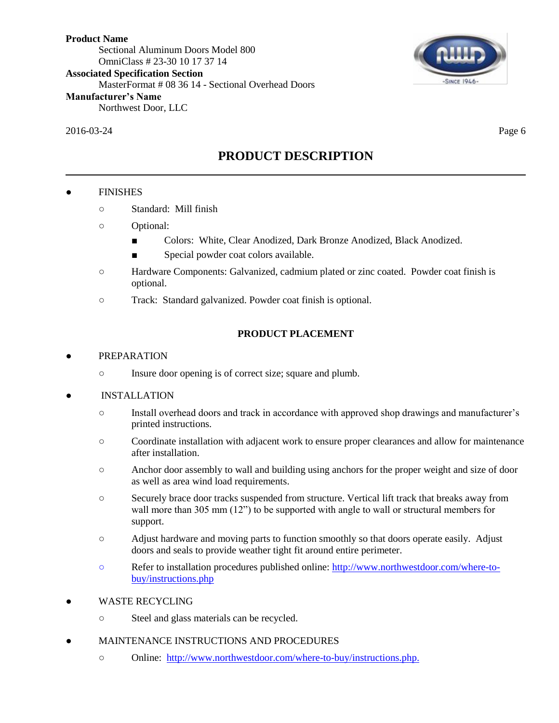2016-03-24 Page 6



# **PRODUCT DESCRIPTION**

## **FINISHES**

- Standard: Mill finish
- Optional:
	- Colors: White, Clear Anodized, Dark Bronze Anodized, Black Anodized.
	- Special powder coat colors available.
- Hardware Components: Galvanized, cadmium plated or zinc coated. Powder coat finish is optional.
- Track: Standard galvanized. Powder coat finish is optional.

## **PRODUCT PLACEMENT**

## **PREPARATION**

○ Insure door opening is of correct size; square and plumb.

#### **INSTALLATION**

- Install overhead doors and track in accordance with approved shop drawings and manufacturer's printed instructions.
- Coordinate installation with adjacent work to ensure proper clearances and allow for maintenance after installation.
- Anchor door assembly to wall and building using anchors for the proper weight and size of door as well as area wind load requirements.
- Securely brace door tracks suspended from structure. Vertical lift track that breaks away from wall more than 305 mm (12") to be supported with angle to wall or structural members for support.
- Adjust hardware and moving parts to function smoothly so that doors operate easily. Adjust doors and seals to provide weather tight fit around entire perimeter.
- Refer to installation procedures published online: [http://www.northwestdoor.com/where-to](http://www.northwestdoor.com/where-to-buy/instructions.php)[buy/instructions.php](http://www.northwestdoor.com/where-to-buy/instructions.php)
- WASTE RECYCLING
	- Steel and glass materials can be recycled.
- MAINTENANCE INSTRUCTIONS AND PROCEDURES
	- Online: [http://www.northwestdoor.com/where-to-buy/instructions.php.](http://www.northwestdoor.com/where-to-buy/instructions.php)